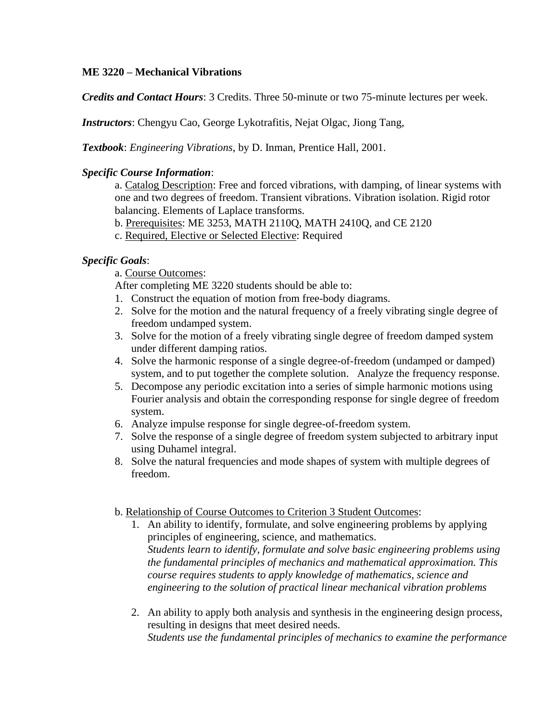# **ME 3220 – Mechanical Vibrations**

*Credits and Contact Hours*: 3 Credits. Three 50-minute or two 75-minute lectures per week.

*Instructors*: Chengyu Cao, George Lykotrafitis, Nejat Olgac, Jiong Tang,

*Textbook*: *Engineering Vibrations*, by D. Inman, Prentice Hall, 2001.

#### *Specific Course Information*:

a. Catalog Description: Free and forced vibrations, with damping, of linear systems with one and two degrees of freedom. Transient vibrations. Vibration isolation. Rigid rotor balancing. Elements of Laplace transforms.

b. Prerequisites: ME 3253, MATH 2110Q, MATH 2410Q, and CE 2120

c. Required, Elective or Selected Elective: Required

# *Specific Goals*:

a. Course Outcomes:

After completing ME 3220 students should be able to:

- 1. Construct the equation of motion from free-body diagrams.
- 2. Solve for the motion and the natural frequency of a freely vibrating single degree of freedom undamped system.
- 3. Solve for the motion of a freely vibrating single degree of freedom damped system under different damping ratios.
- 4. Solve the harmonic response of a single degree-of-freedom (undamped or damped) system, and to put together the complete solution. Analyze the frequency response.
- 5. Decompose any periodic excitation into a series of simple harmonic motions using Fourier analysis and obtain the corresponding response for single degree of freedom system.
- 6. Analyze impulse response for single degree-of-freedom system.
- 7. Solve the response of a single degree of freedom system subjected to arbitrary input using Duhamel integral.
- 8. Solve the natural frequencies and mode shapes of system with multiple degrees of freedom.

#### b. Relationship of Course Outcomes to Criterion 3 Student Outcomes:

- 1. An ability to identify, formulate, and solve engineering problems by applying principles of engineering, science, and mathematics. *Students learn to identify, formulate and solve basic engineering problems using the fundamental principles of mechanics and mathematical approximation. This course requires students to apply knowledge of mathematics, science and engineering to the solution of practical linear mechanical vibration problems*
- 2. An ability to apply both analysis and synthesis in the engineering design process, resulting in designs that meet desired needs. *Students use the fundamental principles of mechanics to examine the performance*